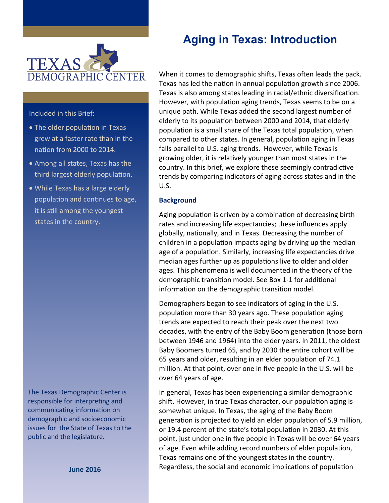

Included in this Brief:

- The older population in Texas grew at a faster rate than in the nation from 2000 to 2014.
- Among all states, Texas has the third largest elderly population.
- While Texas has a large elderly population and continues to age, it is still among the youngest states in the country.

The Texas Demographic Center is responsible for interpreting and communicating information on demographic and socioeconomic issues for the State of Texas to the public and the legislature.

**June 2016**

# **Aging in Texas: Introduction**

When it comes to demographic shifts, Texas often leads the pack. Texas has led the nation in annual population growth since 2006. Texas is also among states leading in racial/ethnic diversification. However, with population aging trends, Texas seems to be on a unique path. While Texas added the second largest number of elderly to its population between 2000 and 2014, that elderly population is a small share of the Texas total population, when compared to other states. In general, population aging in Texas falls parallel to U.S. aging trends. However, while Texas is growing older, it is relatively younger than most states in the country. In this brief, we explore these seemingly contradictive trends by comparing indicators of aging across states and in the U.S.

#### **Background**

Aging population is driven by a combination of decreasing birth rates and increasing life expectancies; these influences apply globally, nationally, and in Texas. Decreasing the number of children in a population impacts aging by driving up the median age of a population. Similarly, increasing life expectancies drive median ages further up as populations live to older and older ages. This phenomena is well documented in the theory of the demographic transition model. See Box 1-1 for additional information on the demographic transition model.

Demographers began to see indicators of aging in the U.S. population more than 30 years ago. These population aging trends are expected to reach their peak over the next two decades, with the entry of the Baby Boom generation (those born between 1946 and 1964) into the elder years. In 2011, the oldest Baby Boomers turned 65, and by 2030 the entire cohort will be 65 years and older, resulting in an elder population of 74.1 million. At that point, over one in five people in the U.S. will be over 64 years of age. $\mathrm{II}$ 

In general, Texas has been experiencing a similar demographic shift. However, in true Texas character, our population aging is somewhat unique. In Texas, the aging of the Baby Boom generation is projected to yield an elder population of 5.9 million, or 19.4 percent of the state's total population in 2030. At this point, just under one in five people in Texas will be over 64 years of age. Even while adding record numbers of elder population, Texas remains one of the youngest states in the country. Regardless, the social and economic implications of population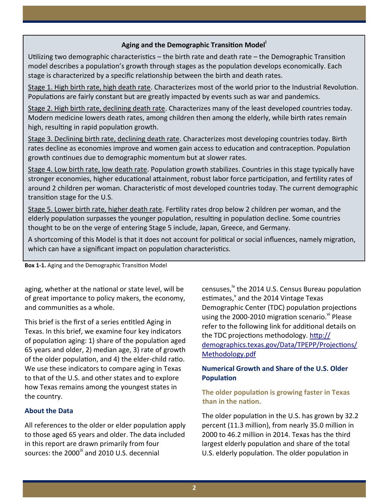#### **Aging and the Demographic Transition Model<sup>i</sup>**

Utilizing two demographic characteristics – the birth rate and death rate – the Demographic Transition model describes a population's growth through stages as the population develops economically. Each stage is characterized by a specific relationship between the birth and death rates.

Stage 1. High birth rate, high death rate. Characterizes most of the world prior to the Industrial Revolution. Populations are fairly constant but are greatly impacted by events such as war and pandemics.

Stage 2. High birth rate, declining death rate. Characterizes many of the least developed countries today. Modern medicine lowers death rates, among children then among the elderly, while birth rates remain high, resulting in rapid population growth.

Stage 3. Declining birth rate, declining death rate. Characterizes most developing countries today. Birth rates decline as economies improve and women gain access to education and contraception. Population growth continues due to demographic momentum but at slower rates.

Stage 4. Low birth rate, low death rate. Population growth stabilizes. Countries in this stage typically have stronger economies, higher educational attainment, robust labor force participation, and fertility rates of around 2 children per woman. Characteristic of most developed countries today. The current demographic transition stage for the U.S.

Stage 5. Lower birth rate, higher death rate. Fertility rates drop below 2 children per woman, and the elderly population surpasses the younger population, resulting in population decline. Some countries thought to be on the verge of entering Stage 5 include, Japan, Greece, and Germany.

A shortcoming of this Model is that it does not account for political or social influences, namely migration, which can have a significant impact on population characteristics.

**Box 1-1.** Aging and the Demographic Transition Model

aging, whether at the national or state level, will be of great importance to policy makers, the economy, and communities as a whole.

This brief is the first of a series entitled Aging in Texas. In this brief, we examine four key indicators of population aging: 1) share of the population aged 65 years and older, 2) median age, 3) rate of growth of the older population, and 4) the elder-child ratio. We use these indicators to compare aging in Texas to that of the U.S. and other states and to explore how Texas remains among the youngest states in the country.

#### **About the Data**

All references to the older or elder population apply to those aged 65 years and older. The data included in this report are drawn primarily from four sources: the 2000<sup>iii</sup> and 2010 U.S. decennial

censuses,<sup>iv</sup> the 2014 U.S. Census Bureau population estimates, and the 2014 Vintage Texas Demographic Center (TDC) population projections using the 2000-2010 migration scenario. Vi Please refer to the following link for additional details on the TDC projections methodology. [http://](http://demographics.texas.gov/Data/TPEPP/Projections/Methodology.pdf) [demographics.texas.gov/Data/TPEPP/Projections/](http://demographics.texas.gov/Data/TPEPP/Projections/Methodology.pdf) [Methodology.pdf](http://demographics.texas.gov/Data/TPEPP/Projections/Methodology.pdf)

## **Numerical Growth and Share of the U.S. Older Population**

## **The older population is growing faster in Texas than in the nation.**

The older population in the U.S. has grown by 32.2 percent (11.3 million), from nearly 35.0 million in 2000 to 46.2 million in 2014. Texas has the third largest elderly population and share of the total U.S. elderly population. The older population in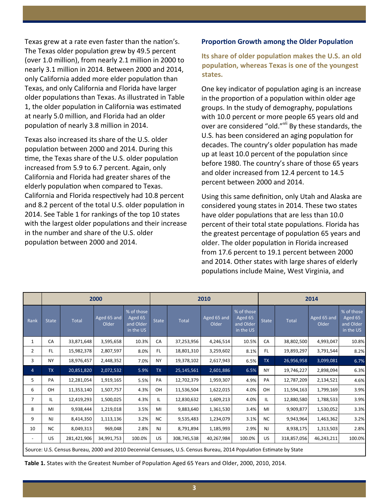Texas grew at a rate even faster than the nation's. The Texas older population grew by 49.5 percent (over 1.0 million), from nearly 2.1 million in 2000 to nearly 3.1 million in 2014. Between 2000 and 2014, only California added more elder population than Texas, and only California and Florida have larger older populations than Texas. As illustrated in Table 1, the older population in California was estimated at nearly 5.0 million, and Florida had an older population of nearly 3.8 million in 2014.

Texas also increased its share of the U.S. older population between 2000 and 2014. During this time, the Texas share of the U.S. older population increased from 5.9 to 6.7 percent. Again, only California and Florida had greater shares of the elderly population when compared to Texas. California and Florida respectively had 10.8 percent and 8.2 percent of the total U.S. older population in 2014. See Table 1 for rankings of the top 10 states with the largest older populations and their increase in the number and share of the U.S. older population between 2000 and 2014.

#### **Proportion Growth among the Older Population**

**Its share of older population makes the U.S. an old population, whereas Texas is one of the youngest states.**

One key indicator of population aging is an increase in the proportion of a population within older age groups. In the study of demography, populations with 10.0 percent or more people 65 years old and over are considered "old."<sup>vii</sup> By these standards, the U.S. has been considered an aging population for decades. The country's older population has made up at least 10.0 percent of the population since before 1980. The country's share of those 65 years and older increased from 12.4 percent to 14.5 percent between 2000 and 2014.

Using this same definition, only Utah and Alaska are considered young states in 2014. These two states have older populations that are less than 10.0 percent of their total state populations. Florida has the greatest percentage of population 65 years and older. The older population in Florida increased from 17.6 percent to 19.1 percent between 2000 and 2014. Other states with large shares of elderly populations include Maine, West Virginia, and

|                | 2000         |              |                      |                                                 |              | 2010                                                                                                                |                      |                                                 |              | 2014         |                      |                                                 |  |  |
|----------------|--------------|--------------|----------------------|-------------------------------------------------|--------------|---------------------------------------------------------------------------------------------------------------------|----------------------|-------------------------------------------------|--------------|--------------|----------------------|-------------------------------------------------|--|--|
| Rank           | <b>State</b> | <b>Total</b> | Aged 65 and<br>Older | % of those<br>Aged 65<br>and Older<br>in the US | <b>State</b> | <b>Total</b>                                                                                                        | Aged 65 and<br>Older | % of those<br>Aged 65<br>and Older<br>in the US | <b>State</b> | <b>Total</b> | Aged 65 and<br>Older | % of those<br>Aged 65<br>and Older<br>in the US |  |  |
| 1              | CA           | 33,871,648   | 3,595,658            | 10.3%                                           | CA           | 37,253,956                                                                                                          | 4,246,514            | 10.5%                                           | CA           | 38,802,500   | 4,993,047            | 10.8%                                           |  |  |
| $\overline{2}$ | FL.          | 15,982,378   | 2,807,597            | 8.0%                                            | FL.          | 18,801,310                                                                                                          | 3,259,602            | 8.1%                                            | FL.          | 19,893,297   | 3,791,544            | 8.2%                                            |  |  |
| 3              | <b>NY</b>    | 18,976,457   | 2,448,352            | 7.0%                                            | <b>NY</b>    | 19,378,102                                                                                                          | 2,617,943            | 6.5%                                            | <b>TX</b>    | 26,956,958   | 3,099,081            | 6.7%                                            |  |  |
| $\overline{4}$ | <b>TX</b>    | 20,851,820   | 2,072,532            | 5.9%                                            | <b>TX</b>    | 25,145,561                                                                                                          | 2,601,886            | 6.5%                                            | <b>NY</b>    | 19,746,227   | 2,898,094            | 6.3%                                            |  |  |
| 5              | PA           | 12,281,054   | 1,919,165            | 5.5%                                            | PA           | 12,702,379                                                                                                          | 1,959,307            | 4.9%                                            | PA           | 12,787,209   | 2,134,521            | 4.6%                                            |  |  |
| 6              | OH           | 11,353,140   | 1,507,757            | 4.3%                                            | OH           | 11,536,504                                                                                                          | 1,622,015            | 4.0%                                            | OH           | 11,594,163   | 1,799,169            | 3.9%                                            |  |  |
| 7              | IL.          | 12,419,293   | 1,500,025            | 4.3%                                            | IL           | 12,830,632                                                                                                          | 1,609,213            | 4.0%                                            | IL.          | 12,880,580   | 1,788,533            | 3.9%                                            |  |  |
| 8              | MI           | 9,938,444    | 1,219,018            | 3.5%                                            | MI           | 9,883,640                                                                                                           | 1,361,530            | 3.4%                                            | MI           | 9,909,877    | 1,530,052            | 3.3%                                            |  |  |
| 9              | <b>NJ</b>    | 8,414,350    | 1,113,136            | 3.2%                                            | <b>NC</b>    | 9,535,483                                                                                                           | 1,234,079            | 3.1%                                            | <b>NC</b>    | 9,943,964    | 1,463,362            | 3.2%                                            |  |  |
| 10             | <b>NC</b>    | 8,049,313    | 969,048              | 2.8%                                            | <b>NJ</b>    | 8,791,894                                                                                                           | 1,185,993            | 2.9%                                            | <b>NJ</b>    | 8,938,175    | 1,313,503            | 2.8%                                            |  |  |
|                | US           | 281,421,906  | 34,991,753           | 100.0%                                          | US           | 308,745,538                                                                                                         | 40,267,984           | 100.0%                                          | US           | 318,857,056  | 46,243,211           | 100.0%                                          |  |  |
|                |              |              |                      |                                                 |              | Source: U.S. Census Bureau, 2000 and 2010 Decennial Censuses, U.S. Census Bureau, 2014 Population Estimate by State |                      |                                                 |              |              |                      |                                                 |  |  |

**Table 1.** States with the Greatest Number of Population Aged 65 Years and Older, 2000, 2010, 2014.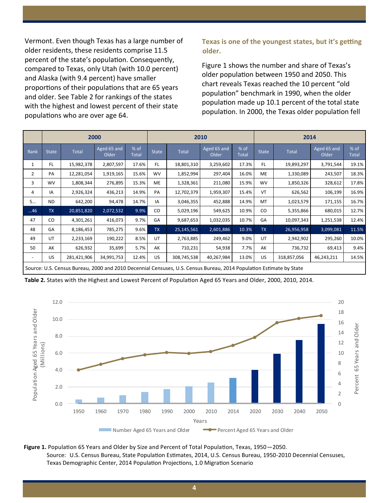Vermont. Even though Texas has a large number of older residents, these residents comprise 11.5 percent of the state's population. Consequently, compared to Texas, only Utah (with 10.0 percent) and Alaska (with 9.4 percent) have smaller proportions of their populations that are 65 years and older. See Table 2 for rankings of the states with the highest and lowest percent of their state populations who are over age 64.

# **Texas is one of the youngest states, but it's getting older.**

Figure 1 shows the number and share of Texas's older population between 1950 and 2050. This chart reveals Texas reached the 10 percent "old population" benchmark in 1990, when the older population made up 10.1 percent of the total state population. In 2000, the Texas older population fell

|                |              |                                                                                                                     | 2000                 |                      | 2010         |              |                      |                      | 2014         |             |                      |               |
|----------------|--------------|---------------------------------------------------------------------------------------------------------------------|----------------------|----------------------|--------------|--------------|----------------------|----------------------|--------------|-------------|----------------------|---------------|
| Rank           | <b>State</b> | Total                                                                                                               | Aged 65 and<br>Older | % of<br><b>Total</b> | <b>State</b> | <b>Total</b> | Aged 65 and<br>Older | % of<br><b>Total</b> | <b>State</b> | Total       | Aged 65 and<br>Older | % of<br>Total |
| 1              | FL.          | 15,982,378                                                                                                          | 2,807,597            | 17.6%                | FL.          | 18,801,310   | 3,259,602            | 17.3%                | FL.          | 19,893,297  | 3,791,544            | 19.1%         |
| $\overline{2}$ | PA           | 12,281,054                                                                                                          | 1,919,165            | 15.6%                | <b>WV</b>    | 1,852,994    | 297,404              | 16.0%                | ME           | 1,330,089   | 243,507              | 18.3%         |
| 3              | <b>WV</b>    | 1,808,344                                                                                                           | 276,895              | 15.3%                | ME           | 1,328,361    | 211,080              | 15.9%                | <b>WV</b>    | 1,850,326   | 328,612              | 17.8%         |
| 4              | IA           | 2,926,324                                                                                                           | 436,213              | 14.9%                | PA           | 12,702,379   | 1,959,307            | 15.4%                | VT           | 626,562     | 106,199              | 16.9%         |
| 5              | ND.          | 642,200                                                                                                             | 94,478               | 14.7%                | IA           | 3,046,355    | 452,888              | 14.9%                | MT           | 1,023,579   | 171,155              | 16.7%         |
| 46             | <b>TX</b>    | 20,851,820                                                                                                          | 2,072,532            | 9.9%                 | CO.          | 5,029,196    | 549,625              | 10.9%                | CO           | 5,355,866   | 680,015              | 12.7%         |
| 47             | CO           | 4,301,261                                                                                                           | 416,073              | 9.7%                 | GA           | 9,687,653    | 1,032,035            | 10.7%                | GA           | 10,097,343  | 1,251,538            | 12.4%         |
| 48             | GA           | 8,186,453                                                                                                           | 785,275              | 9.6%                 | <b>TX</b>    | 25,145,561   | 2,601,886            | 10.3%                | <b>TX</b>    | 26,956,958  | 3,099,081            | 11.5%         |
| 49             | UT           | 2,233,169                                                                                                           | 190,222              | 8.5%                 | UT           | 2,763,885    | 249,462              | 9.0%                 | UT           | 2,942,902   | 295,260              | 10.0%         |
| 50             | AK           | 626,932                                                                                                             | 35,699               | 5.7%                 | AK           | 710,231      | 54,938               | 7.7%                 | AK           | 736,732     | 69,413               | 9.4%          |
|                | US           | 281,421,906                                                                                                         | 34,991,753           | 12.4%                | US           | 308,745,538  | 40,267,984           | 13.0%                | US           | 318,857,056 | 46,243,211           | 14.5%         |
|                |              | Source: U.S. Census Bureau, 2000 and 2010 Decennial Censuses, U.S. Census Bureau, 2014 Population Estimate by State |                      |                      |              |              |                      |                      |              |             |                      |               |

**Table 2.** States with the Highest and Lowest Percent of Population Aged 65 Years and Older, 2000, 2010, 2014.



**Figure 1.** Population 65 Years and Older by Size and Percent of Total Population, Texas, 1950—2050. Source: U.S. Census Bureau, State Population Estimates, 2014, U.S. Census Bureau, 1950-2010 Decennial Censuses,

Texas Demographic Center, 2014 Population Projections, 1.0 Migration Scenario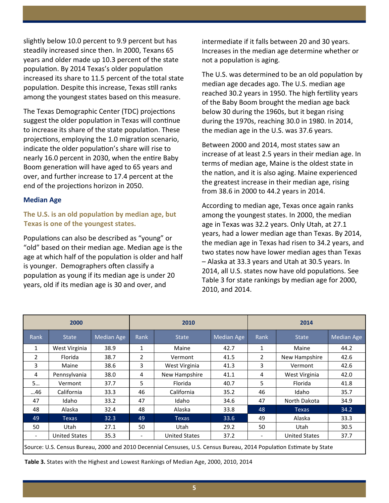slightly below 10.0 percent to 9.9 percent but has steadily increased since then. In 2000, Texans 65 years and older made up 10.3 percent of the state population. By 2014 Texas's older population increased its share to 11.5 percent of the total state population. Despite this increase, Texas still ranks among the youngest states based on this measure.

The Texas Demographic Center (TDC) projections suggest the older population in Texas will continue to increase its share of the state population. These projections, employing the 1.0 migration scenario, indicate the older population's share will rise to nearly 16.0 percent in 2030, when the entire Baby Boom generation will have aged to 65 years and over, and further increase to 17.4 percent at the end of the projections horizon in 2050.

#### **Median Age**

## **The U.S. is an old population by median age, but Texas is one of the youngest states.**

Populations can also be described as "young" or "old" based on their median age. Median age is the age at which half of the population is older and half is younger. Demographers often classify a population as young if its median age is under 20 years, old if its median age is 30 and over, and

intermediate if it falls between 20 and 30 years. Increases in the median age determine whether or not a population is aging.

The U.S. was determined to be an old population by median age decades ago. The U.S. median age reached 30.2 years in 1950. The high fertility years of the Baby Boom brought the median age back below 30 during the 1960s, but it began rising during the 1970s, reaching 30.0 in 1980. In 2014, the median age in the U.S. was 37.6 years.

Between 2000 and 2014, most states saw an increase of at least 2.5 years in their median age. In terms of median age, Maine is the oldest state in the nation, and it is also aging. Maine experienced the greatest increase in their median age, rising from 38.6 in 2000 to 44.2 years in 2014.

According to median age, Texas once again ranks among the youngest states. In 2000, the median age in Texas was 32.2 years. Only Utah, at 27.1 years, had a lower median age than Texas. By 2014, the median age in Texas had risen to 34.2 years, and two states now have lower median ages than Texas – Alaska at 33.3 years and Utah at 30.5 years. In 2014, all U.S. states now have old populations. See Table 3 for state rankings by median age for 2000, 2010, and 2014.

|                          | 2000                 |                   |                              | 2010                                                                                                                |            | 2014                     |                      |                   |  |
|--------------------------|----------------------|-------------------|------------------------------|---------------------------------------------------------------------------------------------------------------------|------------|--------------------------|----------------------|-------------------|--|
| Rank                     | <b>State</b>         | <b>Median Age</b> | Rank                         | <b>State</b>                                                                                                        | Median Age | Rank                     | <b>State</b>         | <b>Median Age</b> |  |
| 1                        | West Virginia        | 38.9              | 1                            | Maine                                                                                                               | 42.7       |                          | Maine                | 44.2              |  |
| $\overline{2}$           | Florida              | 38.7              | $\overline{2}$               | Vermont                                                                                                             | 41.5       | $\overline{2}$           | New Hampshire        | 42.6              |  |
| 3                        | Maine                | 38.6              | 3                            | West Virginia                                                                                                       | 41.3       | 3                        | Vermont              | 42.6              |  |
| 4                        | Pennsylvania         | 38.0              | 4                            | New Hampshire                                                                                                       | 41.1       | 4                        | West Virginia        | 42.0              |  |
| 5                        | Vermont              | 37.7              | 5                            | Florida                                                                                                             | 40.7       | 5                        | Florida              | 41.8              |  |
| 46                       | California           | 33.3              | 46                           | California                                                                                                          | 35.2       | 46                       | Idaho                | 35.7              |  |
| 47                       | Idaho                | 33.2              | 47                           | Idaho                                                                                                               | 34.6       | 47                       | North Dakota         | 34.9              |  |
| 48                       | Alaska               | 32.4              | 48                           | Alaska                                                                                                              | 33.8       | 48                       | <b>Texas</b>         | 34.2              |  |
| 49                       | <b>Texas</b>         | 32.3              | 49                           | <b>Texas</b>                                                                                                        | 33.6       | 49                       | Alaska               | 33.3              |  |
| 50                       | Utah                 | 27.1              | 50                           | Utah                                                                                                                | 29.2       | 50                       | Utah                 | 30.5              |  |
| $\overline{\phantom{a}}$ | <b>United States</b> | 35.3              | $\qquad \qquad \blacksquare$ | <b>United States</b>                                                                                                | 37.2       | $\overline{\phantom{a}}$ | <b>United States</b> | 37.7              |  |
|                          |                      |                   |                              | Source: U.S. Census Bureau, 2000 and 2010 Decennial Censuses, U.S. Census Bureau, 2014 Population Estimate by State |            |                          |                      |                   |  |

**Table 3.** States with the Highest and Lowest Rankings of Median Age, 2000, 2010, 2014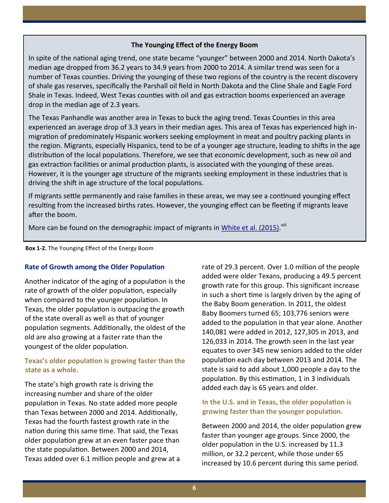#### **The Younging Effect of the Energy Boom**

In spite of the national aging trend, one state became "younger" between 2000 and 2014. North Dakota's median age dropped from 36.2 years to 34.9 years from 2000 to 2014. A similar trend was seen for a number of Texas counties. Driving the younging of these two regions of the country is the recent discovery of shale gas reserves, specifically the Parshall oil field in North Dakota and the Cline Shale and Eagle Ford Shale in Texas. Indeed, West Texas counties with oil and gas extraction booms experienced an average drop in the median age of 2.3 years.

The Texas Panhandle was another area in Texas to buck the aging trend. Texas Counties in this area experienced an average drop of 3.3 years in their median ages. This area of Texas has experienced high inmigration of predominately Hispanic workers seeking employment in meat and poultry packing plants in the region. Migrants, especially Hispanics, tend to be of a younger age structure, leading to shifts in the age distribution of the local populations. Therefore, we see that economic development, such as new oil and gas extraction facilities or animal production plants, is associated with the younging of these areas. However, it is the younger age structure of the migrants seeking employment in these industries that is driving the shift in age structure of the local populations.

If migrants settle permanently and raise families in these areas, we may see a continued younging effect resulting from the increased births rates. However, the younging effect can be fleeting if migrants leave after the boom.

More can be found on the demographic impact of migrants in [White et al. \(2015\).](http://osd.texas.gov/Resources/Publications/2015/2015-03-04_Intro_to_Mig.pdf)<sup>viii</sup>

**Box 1-2.** The Younging Effect of the Energy Boom

#### **Rate of Growth among the Older Population**

Another indicator of the aging of a population is the rate of growth of the older population, especially when compared to the younger population. In Texas, the older population is outpacing the growth of the state overall as well as that of younger population segments. Additionally, the oldest of the old are also growing at a faster rate than the youngest of the older population.

# **Texas's older population is growing faster than the state as a whole.**

The state's high growth rate is driving the increasing number and share of the older population in Texas. No state added more people than Texas between 2000 and 2014. Additionally, Texas had the fourth fastest growth rate in the nation during this same time. That said, the Texas older population grew at an even faster pace than the state population. Between 2000 and 2014, Texas added over 6.1 million people and grew at a rate of 29.3 percent. Over 1.0 million of the people added were older Texans, producing a 49.5 percent growth rate for this group. This significant increase in such a short time is largely driven by the aging of the Baby Boom generation. In 2011, the oldest Baby Boomers turned 65; 103,776 seniors were added to the population in that year alone. Another 140,081 were added in 2012, 127,305 in 2013, and 126,033 in 2014. The growth seen in the last year equates to over 345 new seniors added to the older population each day between 2013 and 2014. The state is said to add about 1,000 people a day to the population. By this estimation, 1 in 3 individuals added each day is 65 years and older.

## **In the U.S. and in Texas, the older population is growing faster than the younger population.**

Between 2000 and 2014, the older population grew faster than younger age groups. Since 2000, the older population in the U.S. increased by 11.3 million, or 32.2 percent, while those under 65 increased by 10.6 percent during this same period.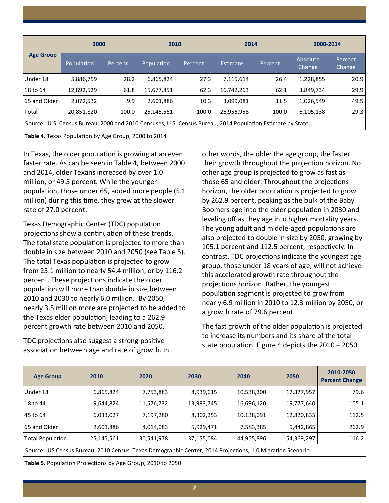|                  | 2000                                                                                                      |         | 2010       |         | 2014       |         | 2000-2014          |                   |  |
|------------------|-----------------------------------------------------------------------------------------------------------|---------|------------|---------|------------|---------|--------------------|-------------------|--|
| <b>Age Group</b> | Population                                                                                                | Percent |            | Percent | Estimate   | Percent | Absolute<br>Change | Percent<br>Change |  |
| Under 18         | 5,886,759                                                                                                 | 28.2    | 6,865,824  | 27.3    | 7,115,614  | 26.4    | 1,228,855          | 20.9              |  |
| 18 to 64         | 12,892,529                                                                                                | 61.8    | 15,677,851 | 62.3    | 16,742,263 | 62.1    | 3,849,734          | 29.9              |  |
| 65 and Older     | 2,072,532                                                                                                 | 9.9     | 2,601,886  | 10.3    | 3,099,081  | 11.5    | 1,026,549          | 49.5              |  |
| Total            | 20,851,820                                                                                                | 100.0   | 25,145,561 | 100.0   | 26,956,958 | 100.0   | 6,105,138          | 29.3              |  |
|                  | Source: U.S. Census Bureau, 2000 and 2010 Censuses, U.S. Census Bureau, 2014 Population Estimate by State |         |            |         |            |         |                    |                   |  |

**Table 4.** Texas Population by Age Group, 2000 to 2014

In Texas, the older population is growing at an even faster rate. As can be seen in Table 4, between 2000 and 2014, older Texans increased by over 1.0 million, or 49.5 percent. While the younger population, those under 65, added more people (5.1 million) during this time, they grew at the slower rate of 27.0 percent.

Texas Demographic Center (TDC) population projections show a continuation of these trends. The total state population is projected to more than double in size between 2010 and 2050 (see Table 5). The total Texas population is projected to grow from 25.1 million to nearly 54.4 million, or by 116.2 percent. These projections indicate the older population will more than double in size between 2010 and 2030 to nearly 6.0 million. By 2050, nearly 3.5 million more are projected to be added to the Texas elder population, leading to a 262.9 percent growth rate between 2010 and 2050.

TDC projections also suggest a strong positive association between age and rate of growth. In

other words, the older the age group, the faster their growth throughout the projection horizon. No other age group is projected to grow as fast as those 65 and older. Throughout the projections horizon, the older population is projected to grow by 262.9 percent, peaking as the bulk of the Baby Boomers age into the elder population in 2030 and leveling off as they age into higher mortality years. The young adult and middle-aged populations are also projected to double in size by 2050, growing by 105.1 percent and 112.5 percent, respectively. In contrast, TDC projections indicate the youngest age group, those under 18 years of age, will not achieve this accelerated growth rate throughout the projections horizon. Rather, the youngest population segment is projected to grow from nearly 6.9 million in 2010 to 12.3 million by 2050, or a growth rate of 79.6 percent.

The fast growth of the older population is projected to increase its numbers and its share of the total state population. Figure 4 depicts the 2010 – 2050

| <b>Age Group</b>                                                                                          | 2010       | 2020       | 2030       | 2040       | 2050       | 2010-2050<br><b>Percent Change</b> |  |  |  |  |
|-----------------------------------------------------------------------------------------------------------|------------|------------|------------|------------|------------|------------------------------------|--|--|--|--|
| Under 18                                                                                                  | 6,865,824  | 7,753,883  | 8,939,615  | 10,538,300 | 12,327,957 | 79.6                               |  |  |  |  |
| 18 to 44                                                                                                  | 9,644,824  | 11,576,732 | 13,983,745 | 16,696,120 | 19,777,640 | 105.1                              |  |  |  |  |
| 45 to 64                                                                                                  | 6,033,027  | 7,197,280  | 8,302,253  | 10,138,091 | 12,820,835 | 112.5                              |  |  |  |  |
| 65 and Older                                                                                              | 2,601,886  | 4,014,083  | 5,929,471  | 7,583,385  | 9,442,865  | 262.9                              |  |  |  |  |
| Total Population                                                                                          | 25,145,561 | 30,541,978 | 37,155,084 | 44,955,896 | 54,369,297 | 116.2                              |  |  |  |  |
| Source: US Census Bureau, 2010 Census, Texas Demographic Center, 2014 Projections, 1.0 Migration Scenario |            |            |            |            |            |                                    |  |  |  |  |

**Table 5.** Population Projections by Age Group, 2010 to 2050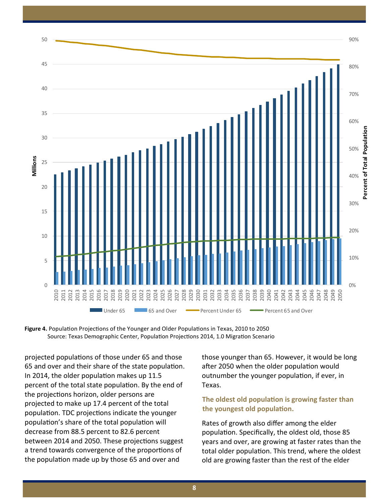



projected populations of those under 65 and those 65 and over and their share of the state population. In 2014, the older population makes up 11.5 percent of the total state population. By the end of the projections horizon, older persons are projected to make up 17.4 percent of the total population. TDC projections indicate the younger population's share of the total population will decrease from 88.5 percent to 82.6 percent between 2014 and 2050. These projections suggest a trend towards convergence of the proportions of the population made up by those 65 and over and

those younger than 65. However, it would be long after 2050 when the older population would outnumber the younger population, if ever, in Texas.

## **The oldest old population is growing faster than the youngest old population.**

Rates of growth also differ among the elder population. Specifically, the oldest old, those 85 years and over, are growing at faster rates than the total older population. This trend, where the oldest old are growing faster than the rest of the elder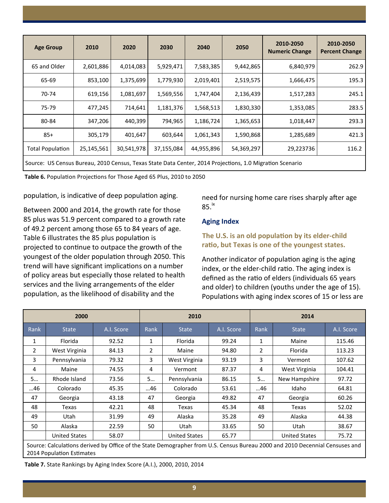| <b>Age Group</b>        | 2010       | 2020       | 2030       | 2040       | 2050       | 2010-2050<br><b>Numeric Change</b> | 2010-2050<br><b>Percent Change</b> |
|-------------------------|------------|------------|------------|------------|------------|------------------------------------|------------------------------------|
| 65 and Older            | 2,601,886  | 4,014,083  | 5,929,471  | 7,583,385  | 9,442,865  | 6,840,979                          | 262.9                              |
| 65-69                   | 853,100    | 1,375,699  | 1,779,930  | 2,019,401  | 2,519,575  | 1,666,475                          | 195.3                              |
| 70-74                   | 619,156    | 1,081,697  | 1,569,556  | 1,747,404  | 2,136,439  | 1,517,283                          | 245.1                              |
| 75-79                   | 477,245    | 714,641    | 1,181,376  | 1,568,513  | 1,830,330  | 1,353,085                          | 283.5                              |
| 80-84                   | 347,206    | 440,399    | 794,965    | 1,186,724  | 1,365,653  | 1,018,447                          | 293.3                              |
| $85+$                   | 305,179    | 401,647    | 603,644    | 1,061,343  | 1,590,868  | 1,285,689                          | 421.3                              |
| <b>Total Population</b> | 25,145,561 | 30,541,978 | 37,155,084 | 44,955,896 | 54,369,297 | 29,223736                          | 116.2                              |
|                         |            |            |            |            |            |                                    |                                    |

Source: US Census Bureau, 2010 Census, Texas State Data Center, 2014 Projections, 1.0 Migration Scenario

**Table 6.** Population Projections for Those Aged 65 Plus, 2010 to 2050

population, is indicative of deep population aging.

Between 2000 and 2014, the growth rate for those 85 plus was 51.9 percent compared to a growth rate of 49.2 percent among those 65 to 84 years of age. Table 6 illustrates the 85 plus population is projected to continue to outpace the growth of the youngest of the older population through 2050. This trend will have significant implications on a number of policy areas but especially those related to health services and the living arrangements of the elder population, as the likelihood of disability and the

need for nursing home care rises sharply after age  $85.<sup>ix</sup>$ 

## **Aging Index**

# **The U.S. is an old population by its elder-child ratio, but Texas is one of the youngest states.**

Another indicator of population aging is the aging index, or the elder-child ratio. The aging index is defined as the ratio of elders (individuals 65 years and older) to children (youths under the age of 15). Populations with aging index scores of 15 or less are

|      | 2000                                                                                                                                                      |            |                | 2010                 |            | 2014           |                      |            |  |  |  |
|------|-----------------------------------------------------------------------------------------------------------------------------------------------------------|------------|----------------|----------------------|------------|----------------|----------------------|------------|--|--|--|
| Rank | <b>State</b>                                                                                                                                              | A.I. Score | Rank           | <b>State</b>         | A.I. Score | Rank           | <b>State</b>         | A.I. Score |  |  |  |
| 1    | Florida                                                                                                                                                   | 92.52      | 1              | Florida              | 99.24      | $\mathbf{1}$   | Maine                | 115.46     |  |  |  |
| 2    | West Virginia                                                                                                                                             | 84.13      | $\overline{2}$ | Maine                | 94.80      | $\overline{2}$ | Florida              | 113.23     |  |  |  |
| 3    | Pennsylvania                                                                                                                                              | 79.32      | 3              | West Virginia        | 93.19      | 3              | Vermont              | 107.62     |  |  |  |
| 4    | Maine                                                                                                                                                     | 74.55      | 4              | Vermont              | 87.37      | 4              | West Virginia        | 104.41     |  |  |  |
| 5    | Rhode Island                                                                                                                                              | 73.56      | 5              | Pennsylvania         | 86.15      | 5              | New Hampshire        | 97.72      |  |  |  |
| 46   | Colorado                                                                                                                                                  | 45.35      | 46             | Colorado             | 53.61      | 46             | Idaho                | 64.81      |  |  |  |
| 47   | Georgia                                                                                                                                                   | 43.18      | 47             | Georgia              | 49.82      | 47             | Georgia              | 60.26      |  |  |  |
| 48   | Texas                                                                                                                                                     | 42.21      | 48             | Texas                | 45.34      | 48             | Texas                | 52.02      |  |  |  |
| 49   | Utah                                                                                                                                                      | 31.99      | 49             | Alaska               | 35.28      | 49             | Alaska               | 44.38      |  |  |  |
| 50   | Alaska                                                                                                                                                    | 22.59      | 50             | Utah                 | 33.65      | 50             | Utah                 | 38.67      |  |  |  |
|      | <b>United States</b>                                                                                                                                      | 58.07      |                | <b>United States</b> | 65.77      |                | <b>United States</b> | 75.72      |  |  |  |
|      | Source: Calculations derived by Office of the State Demographer from U.S. Census Bureau 2000 and 2010 Decennial Censuses and<br>2014 Population Estimates |            |                |                      |            |                |                      |            |  |  |  |

**Table 7.** State Rankings by Aging Index Score (A.I.), 2000, 2010, 2014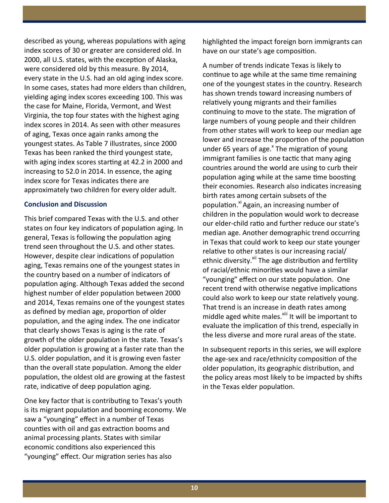described as young, whereas populations with aging index scores of 30 or greater are considered old. In 2000, all U.S. states, with the exception of Alaska, were considered old by this measure. By 2014, every state in the U.S. had an old aging index score. In some cases, states had more elders than children, yielding aging index scores exceeding 100. This was the case for Maine, Florida, Vermont, and West Virginia, the top four states with the highest aging index scores in 2014. As seen with other measures of aging, Texas once again ranks among the youngest states. As Table 7 illustrates, since 2000 Texas has been ranked the third youngest state, with aging index scores starting at 42.2 in 2000 and increasing to 52.0 in 2014. In essence, the aging index score for Texas indicates there are approximately two children for every older adult.

#### **Conclusion and Discussion**

This brief compared Texas with the U.S. and other states on four key indicators of population aging. In general, Texas is following the population aging trend seen throughout the U.S. and other states. However, despite clear indications of population aging, Texas remains one of the youngest states in the country based on a number of indicators of population aging. Although Texas added the second highest number of elder population between 2000 and 2014, Texas remains one of the youngest states as defined by median age, proportion of older population, and the aging index. The one indicator that clearly shows Texas is aging is the rate of growth of the older population in the state. Texas's older population is growing at a faster rate than the U.S. older population, and it is growing even faster than the overall state population. Among the elder population, the oldest old are growing at the fastest rate, indicative of deep population aging.

One key factor that is contributing to Texas's youth is its migrant population and booming economy. We saw a "younging" effect in a number of Texas counties with oil and gas extraction booms and animal processing plants. States with similar economic conditions also experienced this "younging" effect. Our migration series has also

highlighted the impact foreign born immigrants can have on our state's age composition.

A number of trends indicate Texas is likely to continue to age while at the same time remaining one of the youngest states in the country. Research has shown trends toward increasing numbers of relatively young migrants and their families continuing to move to the state. The migration of large numbers of young people and their children from other states will work to keep our median age lower and increase the proportion of the population under 65 years of age.<sup>x</sup> The migration of young immigrant families is one tactic that many aging countries around the world are using to curb their population aging while at the same time boosting their economies. Research also indicates increasing birth rates among certain subsets of the population.<sup>xi</sup> Again, an increasing number of children in the population would work to decrease our elder-child ratio and further reduce our state's median age. Another demographic trend occurring in Texas that could work to keep our state younger relative to other states is our increasing racial/ ethnic diversity.<sup>xii</sup> The age distribution and fertility of racial/ethnic minorities would have a similar "younging" effect on our state population. One recent trend with otherwise negative implications could also work to keep our state relatively young. That trend is an increase in death rates among middle aged white males.<sup>xiii</sup> It will be important to evaluate the implication of this trend, especially in the less diverse and more rural areas of the state.

In subsequent reports in this series, we will explore the age-sex and race/ethnicity composition of the older population, its geographic distribution, and the policy areas most likely to be impacted by shifts in the Texas elder population.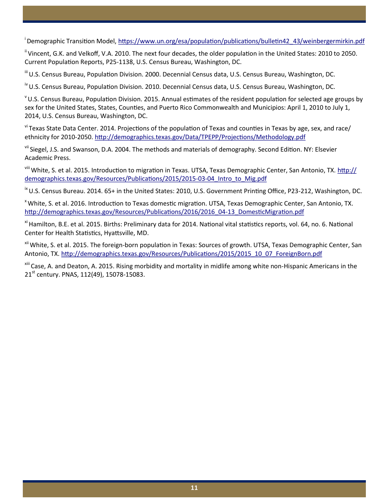<sup>i</sup>Demographic Transition Model, [https://www.un.org/esa/population/publications/bulletin42\\_43/weinbergermirkin.pdf](https://www.un.org/esa/population/publications/bulletin42_43/weinbergermirkin.pdf)

<sup>ii</sup> Vincent. G.K. and Velkoff. V.A. 2010. The next four decades, the older population in the United States: 2010 to 2050. Current Population Reports, P25-1138, U.S. Census Bureau, Washington, DC.

iii U.S. Census Bureau, Population Division. 2000. Decennial Census data, U.S. Census Bureau, Washington, DC.

<sup>iv</sup> U.S. Census Bureau, Population Division. 2010. Decennial Census data, U.S. Census Bureau, Washington, DC.

 $V$ U.S. Census Bureau, Population Division. 2015. Annual estimates of the resident population for selected age groups by sex for the United States, States, Counties, and Puerto Rico Commonwealth and Municipios: April 1, 2010 to July 1, 2014, U.S. Census Bureau, Washington, DC.

<sup>vi</sup> Texas State Data Center. 2014. Projections of the population of Texas and counties in Texas by age, sex, and race/ ethnicity for 2010-2050.<http://demographics.texas.gov/Data/TPEPP/Projections/Methodology.pdf>

vii Siegel, J.S. and Swanson, D.A. 2004. The methods and materials of demography. Second Edition. NY: Elsevier Academic Press.

<sup>viii</sup> White, S. et al. 2015. Introduction to migration in Texas. UTSA, Texas Demographic Center, San Antonio, TX. [http://](http://demographics.texas.gov/Resources/Publications/2015/2015-03-04_Intro_to_Mig.pdf) [demographics.texas.gov/Resources/Publications/2015/2015](http://demographics.texas.gov/Resources/Publications/2015/2015-03-04_Intro_to_Mig.pdf)-03-04 Intro to Mig.pdf

 $\mathrm{^{16}}$  U.S. Census Bureau. 2014. 65+ in the United States: 2010, U.S. Government Printing Office, P23-212, Washington, DC.

<sup>x</sup> White, S. et al. 2016. Introduction to Texas domestic migration. UTSA, Texas Demographic Center, San Antonio, TX. [http://demographics.texas.gov/Resources/Publications/2016/2016\\_04](http://demographics.texas.gov/Resources/Publications/2016/2016_04-13_DomesticMigration.pdf)-13\_DomesticMigration.pdf

<sup>xi</sup> Hamilton, B.E. et al. 2015. Births: Preliminary data for 2014. National vital statistics reports, vol. 64, no. 6. National Center for Health Statistics, Hyattsville, MD.

<sup>xii</sup> White, S. et al. 2015. The foreign-born population in Texas: Sources of growth. UTSA, Texas Demographic Center, San Antonio, TX. [http://demographics.texas.gov/Resources/Publications/2015/2015\\_10\\_07\\_ForeignBorn.pdf](http://demographics.texas.gov/Resources/Publications/2015/2015_10_07_ForeignBorn.pdf)

<sup>xiii</sup> Case, A. and Deaton, A. 2015. Rising morbidity and mortality in midlife among white non-Hispanic Americans in the 21<sup>st</sup> century. PNAS, 112(49), 15078-15083.